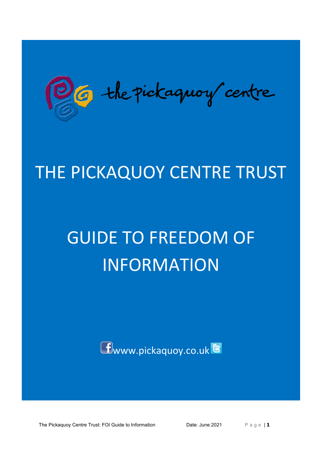O 6 the pickagnoy centre

# THE PICKAQUOY CENTRE TRUST

# GUIDE TO FREEDOM OF INFORMATION



The Pickaquoy Centre Trust: FOI Guide to Information Date: June 2021 Page | 1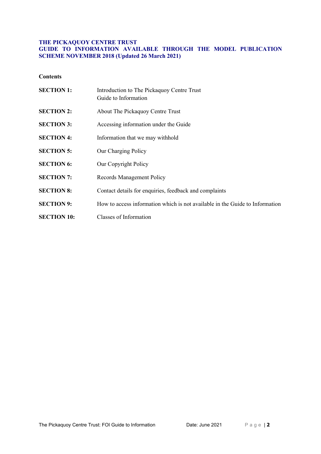#### **THE PICKAQUOY CENTRE TRUST GUIDE TO INFORMATION AVAILABLE THROUGH THE MODEL PUBLICATION SCHEME NOVEMBER 2018 (Updated 26 March 2021)**

**Contents**

| <b>SECTION 1:</b>  | Introduction to The Pickaquoy Centre Trust<br>Guide to Information           |
|--------------------|------------------------------------------------------------------------------|
| <b>SECTION 2:</b>  | About The Pickaquoy Centre Trust                                             |
| <b>SECTION 3:</b>  | Accessing information under the Guide                                        |
| <b>SECTION 4:</b>  | Information that we may withhold                                             |
| <b>SECTION 5:</b>  | Our Charging Policy                                                          |
| <b>SECTION 6:</b>  | Our Copyright Policy                                                         |
| <b>SECTION 7:</b>  | <b>Records Management Policy</b>                                             |
| <b>SECTION 8:</b>  | Contact details for enquiries, feedback and complaints                       |
| <b>SECTION 9:</b>  | How to access information which is not available in the Guide to Information |
| <b>SECTION 10:</b> | Classes of Information                                                       |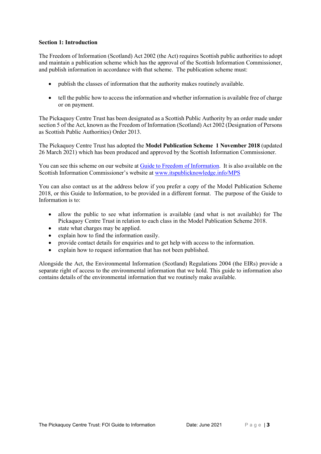#### **Section 1: Introduction**

The Freedom of Information (Scotland) Act 2002 (the Act) requires Scottish public authorities to adopt and maintain a publication scheme which has the approval of the Scottish Information Commissioner, and publish information in accordance with that scheme. The publication scheme must:

- publish the classes of information that the authority makes routinely available.
- tell the public how to access the information and whether information is available free of charge or on payment.

The Pickaquoy Centre Trust has been designated as a Scottish Public Authority by an order made under section 5 of the Act, known as the Freedom of Information (Scotland) Act 2002 (Designation of Persons as Scottish Public Authorities) Order 2013.

The Pickaquoy Centre Trust has adopted the **Model Publication Scheme 1 November 2018** (updated 26 March 2021) which has been produced and approved by the Scottish Information Commissioner.

You can see this scheme on our website at [Guide to Freedom of Information.](https://pickaquoy.co.uk/media/2313/pickaquoy-guide-to-information-april-2021-model-publication-final.pdf) It is also available on the Scottish Information Commissioner's website at [www.itspublicknowledge.info/MPS](http://www.itspublicknowledge.info/MPS)

You can also contact us at the address below if you prefer a copy of the Model Publication Scheme 2018, or this Guide to Information, to be provided in a different format. The purpose of the Guide to Information is to:

- allow the public to see what information is available (and what is not available) for The Pickaquoy Centre Trust in relation to each class in the Model Publication Scheme 2018.
- state what charges may be applied.
- explain how to find the information easily.
- provide contact details for enquiries and to get help with access to the information.
- explain how to request information that has not been published.

Alongside the Act, the Environmental Information (Scotland) Regulations 2004 (the EIRs) provide a separate right of access to the environmental information that we hold. This guide to information also contains details of the environmental information that we routinely make available.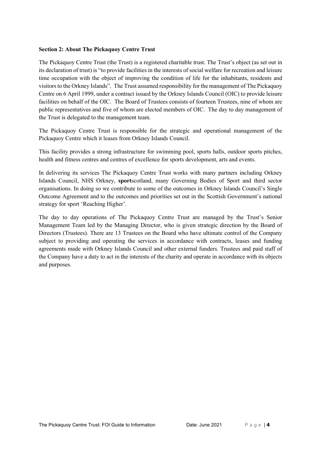#### **Section 2: About The Pickaquoy Centre Trust**

The Pickaquoy Centre Trust (the Trust) is a registered charitable trust. The Trust's object (as set out in its declaration of trust) is "to provide facilities in the interests of social welfare for recreation and leisure time occupation with the object of improving the condition of life for the inhabitants, residents and visitors to the Orkney Islands". The Trust assumed responsibility for the management of The Pickaquoy Centre on 6 April 1999, under a contract issued by the Orkney Islands Council (OIC) to provide leisure facilities on behalf of the OIC. The Board of Trustees consists of fourteen Trustees, nine of whom are public representatives and five of whom are elected members of OIC. The day to day management of the Trust is delegated to the management team.

The Pickaquoy Centre Trust is responsible for the strategic and operational management of the Pickaquoy Centre which it leases from Orkney Islands Council.

This facility provides a strong infrastructure for swimming pool, sports halls, outdoor sports pitches, health and fitness centres and centres of excellence for sports development, arts and events.

In delivering its services The Pickaquoy Centre Trust works with many partners including Orkney Islands Council, NHS Orkney, **sport**scotland, many Governing Bodies of Sport and third sector organisations. In doing so we contribute to some of the outcomes in Orkney Islands Council's Single Outcome Agreement and to the outcomes and priorities set out in the Scottish Government's national strategy for sport 'Reaching Higher'.

The day to day operations of The Pickaquoy Centre Trust are managed by the Trust's Senior Management Team led by the Managing Director, who is given strategic direction by the Board of Directors (Trustees). There are 13 Trustees on the Board who have ultimate control of the Company subject to providing and operating the services in accordance with contracts, leases and funding agreements made with Orkney Islands Council and other external funders. Trustees and paid staff of the Company have a duty to act in the interests of the charity and operate in accordance with its objects and purposes.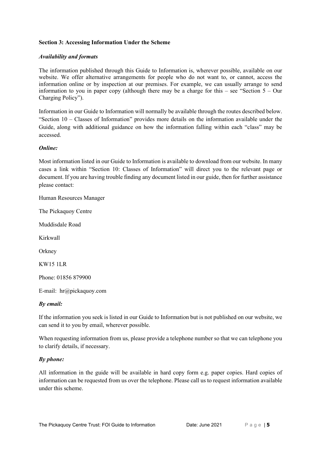#### **Section 3: Accessing Information Under the Scheme**

#### *Availability and formats*

The information published through this Guide to Information is, wherever possible, available on our website. We offer alternative arrangements for people who do not want to, or cannot, access the information online or by inspection at our premises. For example, we can usually arrange to send information to you in paper copy (although there may be a charge for this – see "Section  $5 -$ Our Charging Policy").

Information in our Guide to Information will normally be available through the routes described below. "Section 10 – Classes of Information" provides more details on the information available under the Guide, along with additional guidance on how the information falling within each "class" may be accessed.

#### *Online:*

Most information listed in our Guide to Information is available to download from our website. In many cases a link within "Section 10: Classes of Information" will direct you to the relevant page or document. If you are having trouble finding any document listed in our guide, then for further assistance please contact:

Human Resources Manager

The Pickaquoy Centre

Muddisdale Road

Kirkwall

**Orkney** 

KW15 1LR

Phone: 01856 879900

E-mail: hr@pickaquoy.com

# *By email:*

If the information you seek is listed in our Guide to Information but is not published on our website, we can send it to you by email, wherever possible.

When requesting information from us, please provide a telephone number so that we can telephone you to clarify details, if necessary.

# *By phone:*

All information in the guide will be available in hard copy form e.g. paper copies. Hard copies of information can be requested from us over the telephone. Please call us to request information available under this scheme.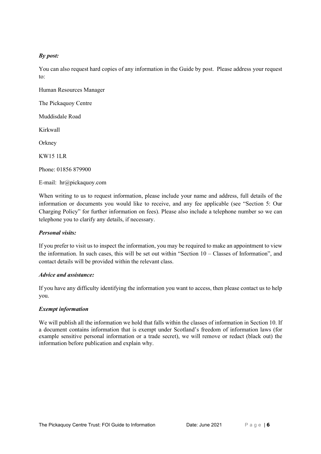# *By post:*

You can also request hard copies of any information in the Guide by post. Please address your request to:

Human Resources Manager

The Pickaquoy Centre

Muddisdale Road

Kirkwall

**Orkney** 

KW15 1LR

Phone: 01856 879900

E-mail: hr@pickaquoy.com

When writing to us to request information, please include your name and address, full details of the information or documents you would like to receive, and any fee applicable (see "Section 5: Our Charging Policy" for further information on fees). Please also include a telephone number so we can telephone you to clarify any details, if necessary.

# *Personal visits:*

If you prefer to visit us to inspect the information, you may be required to make an appointment to view the information. In such cases, this will be set out within "Section 10 – Classes of Information", and contact details will be provided within the relevant class.

#### *Advice and assistance:*

If you have any difficulty identifying the information you want to access, then please contact us to help you.

# *Exempt information*

We will publish all the information we hold that falls within the classes of information in Section 10. If a document contains information that is exempt under Scotland's freedom of information laws (for example sensitive personal information or a trade secret), we will remove or redact (black out) the information before publication and explain why.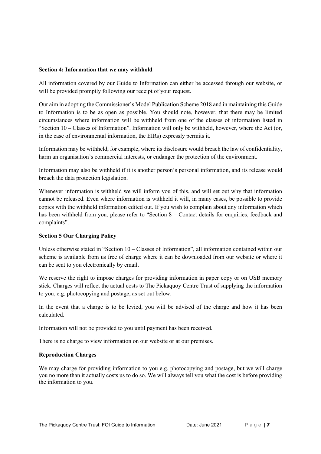#### **Section 4: Information that we may withhold**

All information covered by our Guide to Information can either be accessed through our website, or will be provided promptly following our receipt of your request.

Our aim in adopting the Commissioner's Model Publication Scheme 2018 and in maintaining this Guide to Information is to be as open as possible. You should note, however, that there may be limited circumstances where information will be withheld from one of the classes of information listed in "Section  $10 -$ Classes of Information". Information will only be withheld, however, where the Act (or, in the case of environmental information, the EIRs) expressly permits it.

Information may be withheld, for example, where its disclosure would breach the law of confidentiality, harm an organisation's commercial interests, or endanger the protection of the environment.

Information may also be withheld if it is another person's personal information, and its release would breach the data protection legislation.

Whenever information is withheld we will inform you of this, and will set out why that information cannot be released. Even where information is withheld it will, in many cases, be possible to provide copies with the withheld information edited out. If you wish to complain about any information which has been withheld from you, please refer to "Section 8 – Contact details for enquiries, feedback and complaints".

# **Section 5 Our Charging Policy**

Unless otherwise stated in "Section 10 – Classes of Information", all information contained within our scheme is available from us free of charge where it can be downloaded from our website or where it can be sent to you electronically by email.

We reserve the right to impose charges for providing information in paper copy or on USB memory stick. Charges will reflect the actual costs to The Pickaquoy Centre Trust of supplying the information to you, e.g. photocopying and postage, as set out below.

In the event that a charge is to be levied, you will be advised of the charge and how it has been calculated.

Information will not be provided to you until payment has been received.

There is no charge to view information on our website or at our premises.

#### **Reproduction Charges**

We may charge for providing information to you e.g. photocopying and postage, but we will charge you no more than it actually costs us to do so. We will always tell you what the cost is before providing the information to you.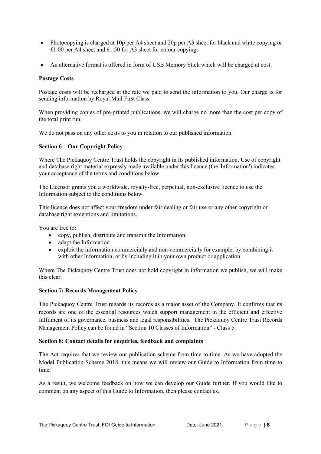- Photocopying is charged at 10p per A4 sheet and 20p per A3 sheet for black and white copying or £1.00 per A4 sheet and £1.50 for A3 sheet for colour copying.
- An alternative format is offered in form of USB Memory Stick which will be charged at cost.

#### **Postage Costs**

Postage costs will be recharged at the rate we paid to send the information to you. Our charge is for sending information by Royal Mail First Class.

When providing copies of pre-printed publications, we will charge no more than the cost per copy of the total print run.

We do not pass on any other costs to you in relation to our published information.

#### **Section 6 – Our Copyright Policy**

Where The Pickaquoy Centre Trust holds the copyright in its published information, Use of copyright and database right material expressly made available under this licence (the 'Information') indicates your acceptance of the terms and conditions below.

The Licensor grants you a worldwide, royalty-free, perpetual, non-exclusive licence to use the Information subject to the conditions below.

This licence does not affect your freedom under fair dealing or fair use or any other copyright or database right exceptions and limitations.

You are free to:

- copy, publish, distribute and transmit the Information.
- adapt the Information.
- exploit the Information commercially and non-commercially for example, by combining it with other Information, or by including it in your own product or application.

Where The Pickaquoy Centre Trust does not hold copyright in information we publish, we will make this clear.

#### **Section 7: Records Management Policy**

The Pickaquoy Centre Trust regards its records as a major asset of the Company. It confirms that its records are one of the essential resources which support management in the efficient and effective fulfilment of its governance, business and legal responsibilities. The Pickaquoy Centre Trust Records Management Policy can be found in "Section 10 Classes of Information" - Class 5.

#### **Section 8: Contact details for enquiries, feedback and complaints**

The Act requires that we review our publication scheme from time to time. As we have adopted the Model Publication Scheme 2018, this means we will review our Guide to Information from time to time.

As a result, we welcome feedback on how we can develop our Guide further. If you would like to comment on any aspect of this Guide to Information, then please contact us.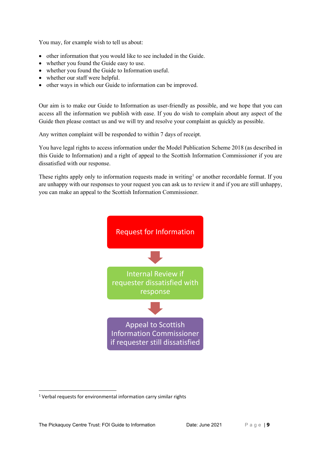You may, for example wish to tell us about:

- other information that you would like to see included in the Guide.
- whether you found the Guide easy to use.
- whether you found the Guide to Information useful.
- whether our staff were helpful.
- other ways in which our Guide to information can be improved.

Our aim is to make our Guide to Information as user-friendly as possible, and we hope that you can access all the information we publish with ease. If you do wish to complain about any aspect of the Guide then please contact us and we will try and resolve your complaint as quickly as possible.

Any written complaint will be responded to within 7 days of receipt.

You have legal rights to access information under the Model Publication Scheme 2018 (as described in this Guide to Information) and a right of appeal to the Scottish Information Commissioner if you are dissatisfied with our response.

These rights apply only to information requests made in writing<sup>[1](#page-8-0)</sup> or another recordable format. If you are unhappy with our responses to your request you can ask us to review it and if you are still unhappy, you can make an appeal to the Scottish Information Commissioner.



<span id="page-8-0"></span><sup>&</sup>lt;sup>1</sup> Verbal requests for environmental information carry similar rights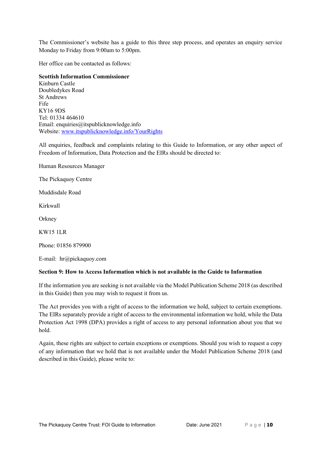The Commissioner's website has a guide to this three step process, and operates an enquiry service Monday to Friday from 9:00am to 5:00pm.

Her office can be contacted as follows:

#### **Scottish Information Commissioner**

Kinburn Castle Doubledykes Road St Andrews Fife KY16 9DS Tel: 01334 464610 Email: enquiries@itspublicknowledge.info Website: [www.itspublicknowledge.info/YourRights](http://www.itspublicknowledge.info/YourRights)

All enquiries, feedback and complaints relating to this Guide to Information, or any other aspect of Freedom of Information, Data Protection and the EIRs should be directed to:

Human Resources Manager

The Pickaquoy Centre

Muddisdale Road

Kirkwall

**Orkney** 

KW15 1LR

Phone: 01856 879900

E-mail: hr@pickaquoy.com

#### **Section 9: How to Access Information which is not available in the Guide to Information**

If the information you are seeking is not available via the Model Publication Scheme 2018 (as described in this Guide) then you may wish to request it from us.

The Act provides you with a right of access to the information we hold, subject to certain exemptions. The EIRs separately provide a right of access to the environmental information we hold, while the Data Protection Act 1998 (DPA) provides a right of access to any personal information about you that we hold.

Again, these rights are subject to certain exceptions or exemptions. Should you wish to request a copy of any information that we hold that is not available under the Model Publication Scheme 2018 (and described in this Guide), please write to: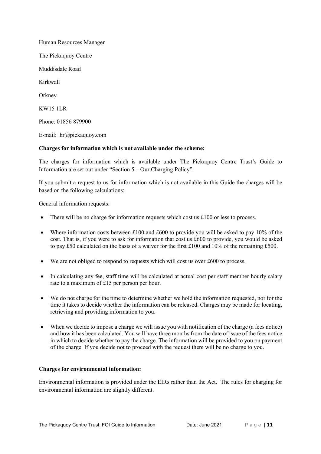Human Resources Manager The Pickaquoy Centre Muddisdale Road Kirkwall **Orkney** KW15 1LR Phone: 01856 879900 E-mail: hr@pickaquoy.com

#### **Charges for information which is not available under the scheme:**

The charges for information which is available under The Pickaquoy Centre Trust's Guide to Information are set out under "Section 5 – Our Charging Policy".

If you submit a request to us for information which is not available in this Guide the charges will be based on the following calculations:

General information requests:

- There will be no charge for information requests which cost us  $\text{\pounds}100$  or less to process.
- Where information costs between £100 and £600 to provide you will be asked to pay 10% of the cost. That is, if you were to ask for information that cost us £600 to provide, you would be asked to pay £50 calculated on the basis of a waiver for the first £100 and 10% of the remaining £500.
- We are not obliged to respond to requests which will cost us over £600 to process.
- In calculating any fee, staff time will be calculated at actual cost per staff member hourly salary rate to a maximum of £15 per person per hour.
- We do not charge for the time to determine whether we hold the information requested, nor for the time it takes to decide whether the information can be released. Charges may be made for locating, retrieving and providing information to you.
- When we decide to impose a charge we will issue you with notification of the charge (a fees notice) and how it has been calculated. You will have three months from the date of issue of the fees notice in which to decide whether to pay the charge. The information will be provided to you on payment of the charge. If you decide not to proceed with the request there will be no charge to you.

#### **Charges for environmental information:**

Environmental information is provided under the EIRs rather than the Act. The rules for charging for environmental information are slightly different.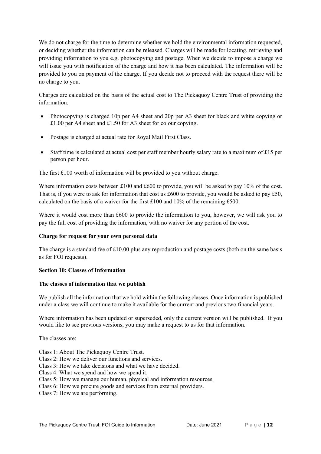We do not charge for the time to determine whether we hold the environmental information requested, or deciding whether the information can be released. Charges will be made for locating, retrieving and providing information to you e.g. photocopying and postage. When we decide to impose a charge we will issue you with notification of the charge and how it has been calculated. The information will be provided to you on payment of the charge. If you decide not to proceed with the request there will be no charge to you.

Charges are calculated on the basis of the actual cost to The Pickaquoy Centre Trust of providing the information.

- Photocopying is charged 10p per A4 sheet and 20p per A3 sheet for black and white copying or £1.00 per A4 sheet and £1.50 for A3 sheet for colour copying.
- Postage is charged at actual rate for Royal Mail First Class.
- Staff time is calculated at actual cost per staff member hourly salary rate to a maximum of £15 per person per hour.

The first £100 worth of information will be provided to you without charge.

Where information costs between £100 and £600 to provide, you will be asked to pay 10% of the cost. That is, if you were to ask for information that cost us £600 to provide, you would be asked to pay £50, calculated on the basis of a waiver for the first £100 and 10% of the remaining £500.

Where it would cost more than £600 to provide the information to you, however, we will ask you to pay the full cost of providing the information, with no waiver for any portion of the cost.

#### **Charge for request for your own personal data**

The charge is a standard fee of  $\pounds 10.00$  plus any reproduction and postage costs (both on the same basis as for FOI requests).

#### **Section 10: Classes of Information**

#### **The classes of information that we publish**

We publish all the information that we hold within the following classes. Once information is published under a class we will continue to make it available for the current and previous two financial years.

Where information has been updated or superseded, only the current version will be published. If you would like to see previous versions, you may make a request to us for that information.

The classes are:

Class 1: About The Pickaquoy Centre Trust.

- Class 2: How we deliver our functions and services.
- Class 3: How we take decisions and what we have decided.
- Class 4: What we spend and how we spend it.
- Class 5: How we manage our human, physical and information resources.
- Class 6: How we procure goods and services from external providers.
- Class 7: How we are performing.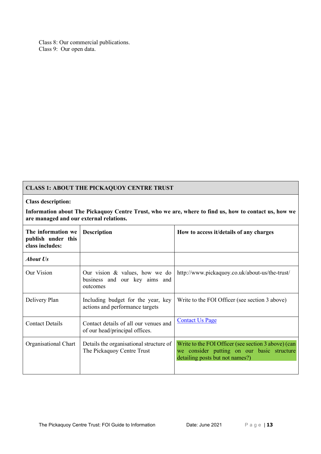Class 8: Our commercial publications. Class 9: Our open data.

# **CLASS 1: ABOUT THE PICKAQUOY CENTRE TRUST**

#### **Class description:**

**Information about The Pickaquoy Centre Trust, who we are, where to find us, how to contact us, how we are managed and our external relations.**

| The information we<br>publish under this<br>class includes: | <b>Description</b>                                                            | How to access it/details of any charges                                                                                              |
|-------------------------------------------------------------|-------------------------------------------------------------------------------|--------------------------------------------------------------------------------------------------------------------------------------|
| <b>About Us</b>                                             |                                                                               |                                                                                                                                      |
| Our Vision                                                  | Our vision $&$ values, how we do<br>business and our key aims and<br>outcomes | http://www.pickaquoy.co.uk/about-us/the-trust/                                                                                       |
| Delivery Plan                                               | Including budget for the year, key<br>actions and performance targets         | Write to the FOI Officer (see section 3 above)                                                                                       |
| <b>Contact Details</b>                                      | Contact details of all our venues and<br>of our head/principal offices.       | <b>Contact Us Page</b>                                                                                                               |
| Organisational Chart                                        | Details the organisational structure of<br>The Pickaquoy Centre Trust         | Write to the FOI Officer (see section 3 above) (can<br>we consider putting on our basic structure<br>detailing posts but not names?) |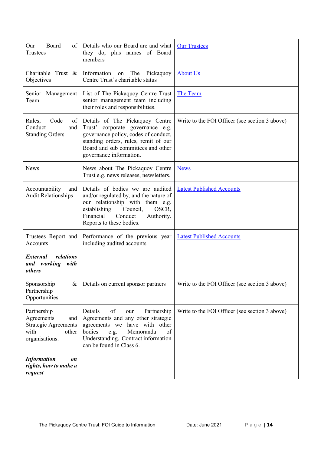| Board<br>of<br>Our<br>Trustees                                                                     | Details who our Board are and what<br>they do, plus names of Board<br>members                                                                                                                                         | <b>Our Trustees</b>                            |
|----------------------------------------------------------------------------------------------------|-----------------------------------------------------------------------------------------------------------------------------------------------------------------------------------------------------------------------|------------------------------------------------|
| Charitable<br>Trust $\&$<br>Objectives                                                             | Information<br>on The Pickaquoy<br>Centre Trust's charitable status                                                                                                                                                   | <b>About Us</b>                                |
| Senior Management<br>Team                                                                          | List of The Pickaquoy Centre Trust<br>senior management team including<br>their roles and responsibilities.                                                                                                           | The Team                                       |
| Code<br>Rules,<br>of<br>Conduct<br>and<br><b>Standing Orders</b>                                   | Details of The Pickaquoy Centre<br>Trust' corporate governance e.g.<br>governance policy, codes of conduct,<br>standing orders, rules, remit of our<br>Board and sub committees and other<br>governance information.  | Write to the FOI Officer (see section 3 above) |
| <b>News</b>                                                                                        | News about The Pickaquoy Centre<br>Trust e.g. news releases, newsletters.                                                                                                                                             | <b>News</b>                                    |
| Accountability<br>and<br><b>Audit Relationships</b>                                                | Details of bodies we are audited<br>and/or regulated by, and the nature of<br>our relationship with them e.g.<br>Council,<br>establishing<br>OSCR,<br>Financial<br>Conduct<br>Authority.<br>Reports to these bodies.  | <b>Latest Published Accounts</b>               |
| Trustees Report and<br>Accounts                                                                    | Performance of the previous year<br>including audited accounts                                                                                                                                                        | <b>Latest Published Accounts</b>               |
| relations<br><i>External</i><br>and working with<br><i>others</i>                                  |                                                                                                                                                                                                                       |                                                |
| Sponsorship<br>&<br>Partnership<br>Opportunities                                                   | Details on current sponsor partners                                                                                                                                                                                   | Write to the FOI Officer (see section 3 above) |
| Partnership<br>Agreements<br>and<br><b>Strategic Agreements</b><br>with<br>other<br>organisations. | of<br>Details<br>Partnership<br>our<br>Agreements and any other strategic<br>have with other<br>agreements we<br>bodies<br>of<br>Memoranda<br>e.g.<br>Understanding. Contract information<br>can be found in Class 6. | Write to the FOI Officer (see section 3 above) |
| <b>Information</b><br><b>on</b><br>rights, how to make a<br>request                                |                                                                                                                                                                                                                       |                                                |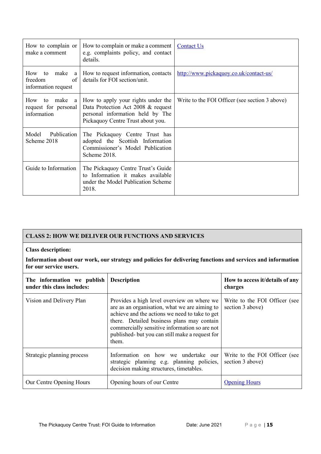| How to complain or<br>make a comment                                     | How to complain or make a comment<br>e.g. complaints policy, and contact<br>details.                                                              | <b>Contact Us</b>                              |
|--------------------------------------------------------------------------|---------------------------------------------------------------------------------------------------------------------------------------------------|------------------------------------------------|
| make a<br>How<br>to<br>freedom<br>of<br>information request              | How to request information, contacts<br>details for FOI section/unit.                                                                             | http://www.pickaquoy.co.uk/contact-us/         |
| How<br>make<br>to<br><sub>a</sub><br>request for personal<br>information | How to apply your rights under the<br>Data Protection Act 2008 & request<br>personal information held by The<br>Pickaquoy Centre Trust about you. | Write to the FOI Officer (see section 3 above) |
| Model<br>Publication<br>Scheme 2018                                      | The Pickaquoy Centre Trust has<br>adopted the Scottish Information<br>Commissioner's Model Publication<br>Scheme 2018.                            |                                                |
| Guide to Information                                                     | The Pickaquoy Centre Trust's Guide<br>to Information it makes available<br>under the Model Publication Scheme<br>2018.                            |                                                |

# **CLASS 2: HOW WE DELIVER OUR FUNCTIONS AND SERVICES**

#### **Class description:**

**Information about our work, our strategy and policies for delivering functions and services and information for our service users.**

| The information we publish<br>under this class includes: | <b>Description</b>                                                                                                                                                                                                                                                                                       | How to access it/details of any<br>charges        |
|----------------------------------------------------------|----------------------------------------------------------------------------------------------------------------------------------------------------------------------------------------------------------------------------------------------------------------------------------------------------------|---------------------------------------------------|
| Vision and Delivery Plan                                 | Provides a high level overview on where we<br>are as an organisation, what we are aiming to<br>achieve and the actions we need to take to get<br>there. Detailed business plans may contain<br>commercially sensitive information so are not<br>published- but you can still make a request for<br>them. | Write to the FOI Officer (see<br>section 3 above) |
| Strategic planning process                               | Information on how we undertake our<br>strategic planning e.g. planning policies,<br>decision making structures, timetables.                                                                                                                                                                             | Write to the FOI Officer (see<br>section 3 above) |
| Our Centre Opening Hours                                 | Opening hours of our Centre                                                                                                                                                                                                                                                                              | <b>Opening Hours</b>                              |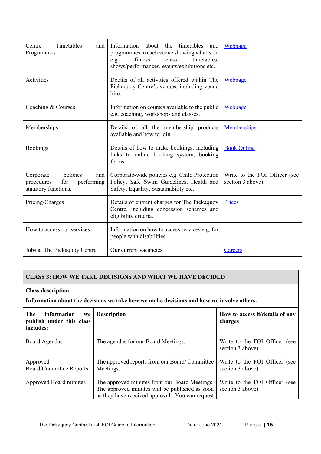| <b>Timetables</b><br>Centre<br>and<br>Programmes                                        | Information about the<br>timetables<br>and<br>programmes in each venue showing what's on<br>fitness<br>class<br>timetables,<br>e.g.<br>shows/performances, events/exhibitions etc. | Webpage                                           |
|-----------------------------------------------------------------------------------------|------------------------------------------------------------------------------------------------------------------------------------------------------------------------------------|---------------------------------------------------|
| Activities                                                                              | Details of all activities offered within The<br>Pickaquoy Centre's venues, including venue<br>hire.                                                                                | Webpage                                           |
| Coaching & Courses                                                                      | Information on courses available to the public<br>e.g. coaching, workshops and classes.                                                                                            | Webpage                                           |
| Memberships                                                                             | Details of all the membership products<br>available and how to join.                                                                                                               | Memberships                                       |
| <b>Bookings</b>                                                                         | Details of how to make bookings, including<br>links to online booking system, booking<br>forms.                                                                                    | <b>Book Online</b>                                |
| policies<br>Corporate<br>and<br>procedures<br>for<br>performing<br>statutory functions. | Corporate-wide policies e.g. Child Protection<br>Policy, Safe Swim Guidelines, Health and<br>Safety, Equality, Sustainability etc.                                                 | Write to the FOI Officer (see<br>section 3 above) |
| Pricing/Charges                                                                         | Details of current charges for The Pickaquoy<br>Centre, including concession schemes and<br>eligibility criteria.                                                                  | Prices                                            |
| How to access our services                                                              | Information on how to access services e.g. for<br>people with disabilities.                                                                                                        |                                                   |
| Jobs at The Pickaquoy Centre                                                            | Our current vacancies                                                                                                                                                              | Careers                                           |

# **CLASS 3: HOW WE TAKE DECISIONS AND WHAT WE HAVE DECIDED**

# **Class description:**

**Information about the decisions we take how we make decisions and how we involve others.**

| <b>The</b><br>information<br>we<br>publish under this class<br>includes: | <b>Description</b>                                                                                                                                 | How to access it/details of any<br>charges        |
|--------------------------------------------------------------------------|----------------------------------------------------------------------------------------------------------------------------------------------------|---------------------------------------------------|
| Board Agendas                                                            | The agendas for our Board Meetings.                                                                                                                | Write to the FOI Officer (see<br>section 3 above) |
| Approved<br>Board/Committee Reports                                      | The approved reports from our Board/Committee<br>Meetings.                                                                                         | Write to the FOI Officer (see<br>section 3 above) |
| Approved Board minutes                                                   | The approved minutes from our Board Meetings.<br>The approved minutes will be published as soon<br>as they have received approval. You can request | Write to the FOI Officer (see<br>section 3 above) |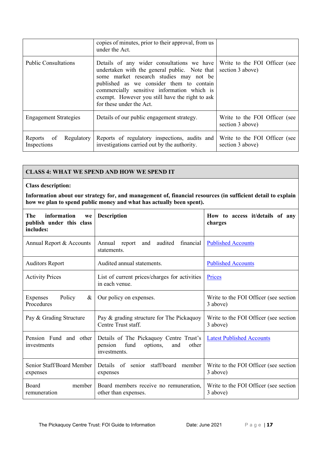|                                         | copies of minutes, prior to their approval, from us<br>under the Act.                                                                                                                                                                                                                                            |                                                   |
|-----------------------------------------|------------------------------------------------------------------------------------------------------------------------------------------------------------------------------------------------------------------------------------------------------------------------------------------------------------------|---------------------------------------------------|
| <b>Public Consultations</b>             | Details of any wider consultations we have<br>undertaken with the general public. Note that<br>some market research studies may not be<br>published as we consider them to contain<br>commercially sensitive information which is<br>exempt. However you still have the right to ask<br>for these under the Act. | Write to the FOI Officer (see<br>section 3 above) |
| <b>Engagement Strategies</b>            | Details of our public engagement strategy.                                                                                                                                                                                                                                                                       | Write to the FOI Officer (see<br>section 3 above) |
| Regulatory<br>Reports of<br>Inspections | Reports of regulatory inspections, audits and<br>investigations carried out by the authority.                                                                                                                                                                                                                    | Write to the FOI Officer (see<br>section 3 above) |

# **CLASS 4: WHAT WE SPEND AND HOW WE SPEND IT**

#### **Class description:**

**Information about our strategy for, and management of, financial resources (in sufficient detail to explain how we plan to spend public money and what has actually been spent).**

| information<br>The<br>we<br>publish under this class<br>includes: | <b>Description</b>                                                                                     | How to access it/details of any<br>charges         |
|-------------------------------------------------------------------|--------------------------------------------------------------------------------------------------------|----------------------------------------------------|
| Annual Report & Accounts                                          | and audited<br>financial<br>Annual report<br>statements.                                               | <b>Published Accounts</b>                          |
| <b>Auditors Report</b>                                            | Audited annual statements.                                                                             | <b>Published Accounts</b>                          |
| <b>Activity Prices</b>                                            | List of current prices/charges for activities<br>in each venue.                                        | Prices                                             |
| Policy<br>$\&$<br><b>Expenses</b><br>Procedures                   | Our policy on expenses.                                                                                | Write to the FOI Officer (see section<br>3 above)  |
| Pay & Grading Structure                                           | Pay & grading structure for The Pickaquoy<br>Centre Trust staff.                                       | Write to the FOI Officer (see section<br>3 above)  |
| Pension Fund and other<br>investments                             | Details of The Pickaquoy Centre Trust's<br>fund<br>options,<br>pension<br>and<br>other<br>investments. | <b>Latest Published Accounts</b>                   |
| Senior Staff/Board Member<br>expenses                             | Details of senior staff/board member<br>expenses                                                       | Write to the FOI Officer (see section<br>3 above)  |
| Board<br>member<br>remuneration                                   | Board members receive no remuneration,<br>other than expenses.                                         | Write to the FOI Officer (see section)<br>3 above) |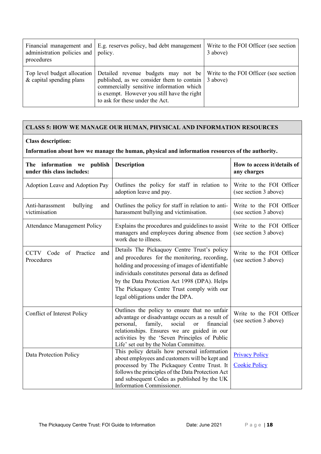| administration policies and policy.<br>procedures         | Financial management and   E.g. reserves policy, bad debt management                                                                                                                                                                                            | Write to the FOI Officer (see section)<br>3 above) |
|-----------------------------------------------------------|-----------------------------------------------------------------------------------------------------------------------------------------------------------------------------------------------------------------------------------------------------------------|----------------------------------------------------|
| Top level budget allocation<br>$&$ capital spending plans | Detailed revenue budgets may not be Write to the FOI Officer (see section<br>published, as we consider them to contain   3 above)<br>commercially sensitive information which<br>is exempt. However you still have the right<br>to ask for these under the Act. |                                                    |

# **CLASS 5: HOW WE MANAGE OUR HUMAN, PHYSICAL AND INFORMATION RESOURCES**

# **Class description:**

# **Information about how we manage the human, physical and information resources of the authority.**

| The information we publish<br>under this class includes: | <b>Description</b>                                                                                                                                                                                                                                                                                                                     | How to access it/details of<br>any charges        |
|----------------------------------------------------------|----------------------------------------------------------------------------------------------------------------------------------------------------------------------------------------------------------------------------------------------------------------------------------------------------------------------------------------|---------------------------------------------------|
| Adoption Leave and Adoption Pay                          | Outlines the policy for staff in relation to<br>adoption leave and pay.                                                                                                                                                                                                                                                                | Write to the FOI Officer<br>(see section 3 above) |
| Anti-harassment<br>bullying<br>and<br>victimisation      | Outlines the policy for staff in relation to anti-<br>harassment bullying and victimisation.                                                                                                                                                                                                                                           | Write to the FOI Officer<br>(see section 3 above) |
| <b>Attendance Management Policy</b>                      | Explains the procedures and guidelines to assist<br>managers and employees during absence from<br>work due to illness.                                                                                                                                                                                                                 | Write to the FOI Officer<br>(see section 3 above) |
| CCTV Code<br>of Practice<br>and<br>Procedures            | Details The Pickaquoy Centre Trust's policy<br>and procedures for the monitoring, recording,<br>holding and processing of images of identifiable<br>individuals constitutes personal data as defined<br>by the Data Protection Act 1998 (DPA). Helps<br>The Pickaquoy Centre Trust comply with our<br>legal obligations under the DPA. | Write to the FOI Officer<br>(see section 3 above) |
| Conflict of Interest Policy                              | Outlines the policy to ensure that no unfair<br>advantage or disadvantage occurs as a result of<br>personal,<br>family,<br>social<br>financial<br><b>or</b><br>relationships. Ensures we are guided in our<br>activities by the 'Seven Principles of Public<br>Life' set out by the Nolan Committee.                                   | Write to the FOI Officer<br>(see section 3 above) |
| Data Protection Policy                                   | This policy details how personal information<br>about employees and customers will be kept and<br>processed by The Pickaquoy Centre Trust. It<br>follows the principles of the Data Protection Act<br>and subsequent Codes as published by the UK<br>Information Commissioner.                                                         | <b>Privacy Policy</b><br><b>Cookie Policy</b>     |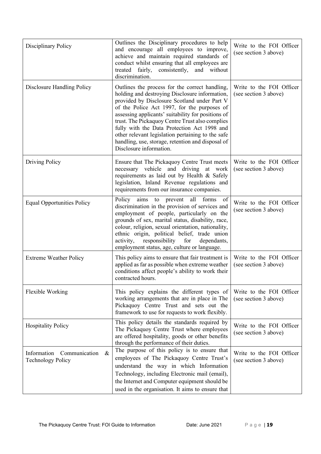| Disciplinary Policy                                           | Outlines the Disciplinary procedures to help<br>and encourage all employees to improve,<br>achieve and maintain required standards of<br>conduct whilst ensuring that all employees are<br>treated fairly,<br>consistently,<br>and without<br>discrimination.                                                                                                                                                                                                                                | Write to the FOI Officer<br>(see section 3 above) |
|---------------------------------------------------------------|----------------------------------------------------------------------------------------------------------------------------------------------------------------------------------------------------------------------------------------------------------------------------------------------------------------------------------------------------------------------------------------------------------------------------------------------------------------------------------------------|---------------------------------------------------|
| Disclosure Handling Policy                                    | Outlines the process for the correct handling,<br>holding and destroying Disclosure information,<br>provided by Disclosure Scotland under Part V<br>of the Police Act 1997, for the purposes of<br>assessing applicants' suitability for positions of<br>trust. The Pickaquoy Centre Trust also complies<br>fully with the Data Protection Act 1998 and<br>other relevant legislation pertaining to the safe<br>handling, use, storage, retention and disposal of<br>Disclosure information. | Write to the FOI Officer<br>(see section 3 above) |
| Driving Policy                                                | Ensure that The Pickaquoy Centre Trust meets<br>necessary vehicle and driving at work<br>requirements as laid out by Health & Safely<br>legislation, Inland Revenue regulations and<br>requirements from our insurance companies.                                                                                                                                                                                                                                                            | Write to the FOI Officer<br>(see section 3 above) |
| <b>Equal Opportunities Policy</b>                             | all<br>Policy<br>aims<br>forms<br>of<br>to<br>prevent<br>discrimination in the provision of services and<br>employment of people, particularly on the<br>grounds of sex, marital status, disability, race,<br>colour, religion, sexual orientation, nationality,<br>ethnic origin, political belief, trade union<br>for<br>activity,<br>responsibility<br>dependants,<br>employment status, age, culture or language.                                                                        | Write to the FOI Officer<br>(see section 3 above) |
| <b>Extreme Weather Policy</b>                                 | This policy aims to ensure that fair treatment is<br>applied as far as possible when extreme weather<br>conditions affect people's ability to work their<br>contracted hours.                                                                                                                                                                                                                                                                                                                | Write to the FOI Officer<br>(see section 3 above) |
| Flexible Working                                              | This policy explains the different types of<br>working arrangements that are in place in The<br>Pickaquoy Centre Trust and sets out the<br>framework to use for requests to work flexibly.                                                                                                                                                                                                                                                                                                   | Write to the FOI Officer<br>(see section 3 above) |
| <b>Hospitality Policy</b>                                     | This policy details the standards required by<br>The Pickaquoy Centre Trust where employees<br>are offered hospitality, goods or other benefits<br>through the performance of their duties.                                                                                                                                                                                                                                                                                                  | Write to the FOI Officer<br>(see section 3 above) |
| Information<br>Communication<br>&<br><b>Technology Policy</b> | The purpose of this policy is to ensure that<br>employees of The Pickaquoy Centre Trust's<br>understand the way in which Information<br>Technology, including Electronic mail (email),<br>the Internet and Computer equipment should be<br>used in the organisation. It aims to ensure that                                                                                                                                                                                                  | Write to the FOI Officer<br>(see section 3 above) |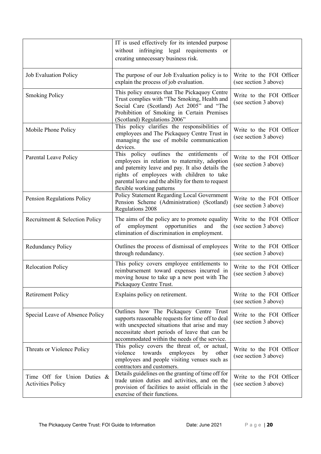|                                 | IT is used effectively for its intended purpose                                                 |                                                   |
|---------------------------------|-------------------------------------------------------------------------------------------------|---------------------------------------------------|
|                                 | without infringing legal requirements or                                                        |                                                   |
|                                 | creating unnecessary business risk.                                                             |                                                   |
|                                 |                                                                                                 |                                                   |
| Job Evaluation Policy           | The purpose of our Job Evaluation policy is to                                                  | Write to the FOI Officer                          |
|                                 | explain the process of job evaluation.                                                          | (see section 3 above)                             |
|                                 | This policy ensures that The Pickaquoy Centre                                                   |                                                   |
| <b>Smoking Policy</b>           | Trust complies with "The Smoking, Health and                                                    | Write to the FOI Officer                          |
|                                 | Social Care (Scotland) Act 2005" and "The                                                       | (see section 3 above)                             |
|                                 | Prohibition of Smoking in Certain Premises                                                      |                                                   |
|                                 | (Scotland) Regulations 2006"                                                                    |                                                   |
| Mobile Phone Policy             | This policy clarifies the responsibilities of                                                   | Write to the FOI Officer                          |
|                                 | employees and The Pickaquoy Centre Trust in                                                     | (see section 3 above)                             |
|                                 | managing the use of mobile communication                                                        |                                                   |
|                                 | devices.                                                                                        |                                                   |
| Parental Leave Policy           | This policy outlines the entitlements of<br>employees in relation to maternity, adoption        | Write to the FOI Officer                          |
|                                 | and paternity leave and pay. It also details the                                                | (see section 3 above)                             |
|                                 | rights of employees with children to take                                                       |                                                   |
|                                 | parental leave and the ability for them to request                                              |                                                   |
|                                 | flexible working patterns                                                                       |                                                   |
| Pension Regulations Policy      | Policy Statement Regarding Local Government                                                     | Write to the FOI Officer                          |
|                                 | Pension Scheme (Administration) (Scotland)                                                      | (see section 3 above)                             |
|                                 | Regulations 2008                                                                                |                                                   |
| Recruitment & Selection Policy  | The aims of the policy are to promote equality                                                  | Write to the FOI Officer                          |
|                                 | opportunities<br>of<br>employment<br>and<br>the                                                 | (see section 3 above)                             |
|                                 | elimination of discrimination in employment.                                                    |                                                   |
| <b>Redundancy Policy</b>        | Outlines the process of dismissal of employees                                                  | Write to the FOI Officer                          |
|                                 | through redundancy.                                                                             | (see section 3 above)                             |
|                                 |                                                                                                 |                                                   |
| <b>Relocation Policy</b>        | This policy covers employee entitlements to<br>reimbursement toward expenses incurred in        | Write to the FOI Officer                          |
|                                 | moving house to take up a new post with The                                                     | (see section 3 above)                             |
|                                 | Pickaquoy Centre Trust.                                                                         |                                                   |
|                                 |                                                                                                 |                                                   |
| <b>Retirement Policy</b>        | Explains policy on retirement.                                                                  | Write to the FOI Officer<br>(see section 3 above) |
|                                 |                                                                                                 |                                                   |
| Special Leave of Absence Policy | Outlines how The Pickaquoy Centre Trust                                                         | Write to the FOI Officer                          |
|                                 | supports reasonable requests for time off to deal                                               | (see section 3 above)                             |
|                                 | with unexpected situations that arise and may<br>necessitate short periods of leave that can be |                                                   |
|                                 | accommodated within the needs of the service.                                                   |                                                   |
|                                 | This policy covers the threat of, or actual,                                                    |                                                   |
| Threats or Violence Policy      | towards<br>violence<br>employees<br>by<br>other                                                 | Write to the FOI Officer                          |
|                                 | employees and people visiting venues such as                                                    | (see section 3 above)                             |
|                                 | contractors and customers.                                                                      |                                                   |
| Time Off for Union Duties &     | Details guidelines on the granting of time off for                                              | Write to the FOI Officer                          |
| <b>Activities Policy</b>        | trade union duties and activities, and on the                                                   | (see section 3 above)                             |
|                                 | provision of facilities to assist officials in the                                              |                                                   |
|                                 | exercise of their functions.                                                                    |                                                   |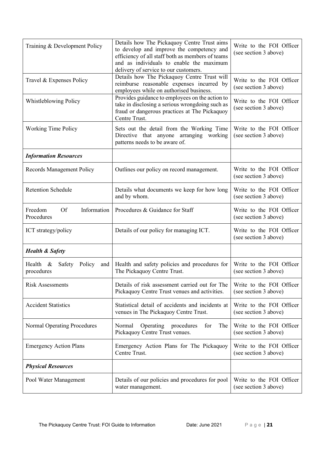| Training & Development Policy                     | Details how The Pickaquoy Centre Trust aims<br>to develop and improve the competency and<br>efficiency of all staff both as members of teams<br>and as individuals to enable the maximum<br>delivery of service to our customers. | Write to the FOI Officer<br>(see section 3 above) |
|---------------------------------------------------|-----------------------------------------------------------------------------------------------------------------------------------------------------------------------------------------------------------------------------------|---------------------------------------------------|
| Travel & Expenses Policy                          | Details how The Pickaquoy Centre Trust will<br>reimburse reasonable expenses incurred by<br>employees while on authorised business.                                                                                               | Write to the FOI Officer<br>(see section 3 above) |
| Whistleblowing Policy                             | Provides guidance to employees on the action to<br>take in disclosing a serious wrongdoing such as<br>fraud or dangerous practices at The Pickaquoy<br>Centre Trust.                                                              | Write to the FOI Officer<br>(see section 3 above) |
| <b>Working Time Policy</b>                        | Sets out the detail from the Working Time<br>Directive that anyone arranging working<br>patterns needs to be aware of.                                                                                                            | Write to the FOI Officer<br>(see section 3 above) |
| <b>Information Resources</b>                      |                                                                                                                                                                                                                                   |                                                   |
| Records Management Policy                         | Outlines our policy on record management.                                                                                                                                                                                         | Write to the FOI Officer<br>(see section 3 above) |
| <b>Retention Schedule</b>                         | Details what documents we keep for how long<br>and by whom.                                                                                                                                                                       | Write to the FOI Officer<br>(see section 3 above) |
| Freedom<br><b>Of</b><br>Information<br>Procedures | Procedures & Guidance for Staff                                                                                                                                                                                                   | Write to the FOI Officer<br>(see section 3 above) |
| ICT strategy/policy                               | Details of our policy for managing ICT.                                                                                                                                                                                           | Write to the FOI Officer<br>(see section 3 above) |
| <b>Health &amp; Safety</b>                        |                                                                                                                                                                                                                                   |                                                   |
| Health &<br>Safety Policy<br>and<br>procedures    | Health and safety policies and procedures for<br>The Pickaquoy Centre Trust.                                                                                                                                                      | Write to the FOI Officer<br>(see section 3 above) |
| <b>Risk Assessments</b>                           | Details of risk assessment carried out for The<br>Pickaquoy Centre Trust venues and activities.                                                                                                                                   | Write to the FOI Officer<br>(see section 3 above) |
| <b>Accident Statistics</b>                        | Statistical detail of accidents and incidents at<br>venues in The Pickaquoy Centre Trust.                                                                                                                                         | Write to the FOI Officer<br>(see section 3 above) |
| Normal Operating Procedures                       | Operating procedures<br>Normal<br>for<br>The<br>Pickaquoy Centre Trust venues.                                                                                                                                                    | Write to the FOI Officer<br>(see section 3 above) |
| <b>Emergency Action Plans</b>                     | Emergency Action Plans for The Pickaquoy<br>Centre Trust.                                                                                                                                                                         | Write to the FOI Officer<br>(see section 3 above) |
| <b>Physical Resources</b>                         |                                                                                                                                                                                                                                   |                                                   |
| Pool Water Management                             | Details of our policies and procedures for pool<br>water management.                                                                                                                                                              | Write to the FOI Officer<br>(see section 3 above) |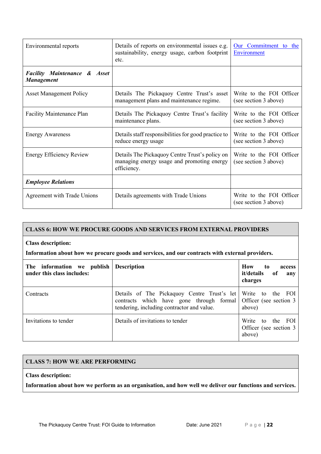| Environmental reports                                 | Details of reports on environmental issues e.g.<br>sustainability, energy usage, carbon footprint<br>etc.   | Our Commitment to the<br>Environment              |
|-------------------------------------------------------|-------------------------------------------------------------------------------------------------------------|---------------------------------------------------|
| <b>Facility Maintenance &amp; Asset</b><br>Management |                                                                                                             |                                                   |
| <b>Asset Management Policy</b>                        | Details The Pickaquoy Centre Trust's asset<br>management plans and maintenance regime.                      | Write to the FOI Officer<br>(see section 3 above) |
| <b>Facility Maintenance Plan</b>                      | Details The Pickaquoy Centre Trust's facility<br>maintenance plans.                                         | Write to the FOI Officer<br>(see section 3 above) |
| <b>Energy Awareness</b>                               | Details staff responsibilities for good practice to<br>reduce energy usage                                  | Write to the FOI Officer<br>(see section 3 above) |
| <b>Energy Efficiency Review</b>                       | Details The Pickaquoy Centre Trust's policy on<br>managing energy usage and promoting energy<br>efficiency. | Write to the FOI Officer<br>(see section 3 above) |
| <b>Employee Relations</b>                             |                                                                                                             |                                                   |
| Agreement with Trade Unions                           | Details agreements with Trade Unions                                                                        | Write to the FOI Officer<br>(see section 3 above) |

# **CLASS 6: HOW WE PROCURE GOODS AND SERVICES FROM EXTERNAL PROVIDERS**

#### **Class description:**

#### **Information about how we procure goods and services, and our contracts with external providers.**

| The information we publish<br>under this class includes: | <b>Description</b>                                                                                                                                                            | How<br>to<br>access<br>it/details<br>of<br>any<br>charges |
|----------------------------------------------------------|-------------------------------------------------------------------------------------------------------------------------------------------------------------------------------|-----------------------------------------------------------|
| Contracts                                                | Details of The Pickaquoy Centre Trust's let Write to the FOI<br>contracts which have gone through formal Officer (see section 3<br>tendering, including contractor and value. | above)                                                    |
| Invitations to tender                                    | Details of invitations to tender                                                                                                                                              | to the FOI<br>Write<br>Officer (see section 3)<br>above)  |

# **CLASS 7: HOW WE ARE PERFORMING**

# **Class description:**

**Information about how we perform as an organisation, and how well we deliver our functions and services.**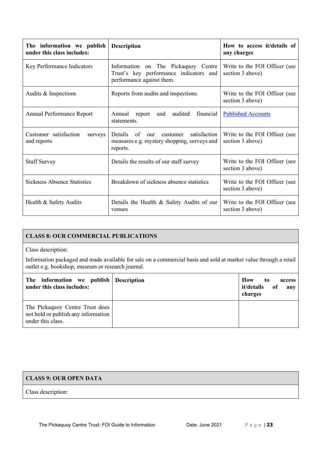| The information we publish<br>under this class includes: | <b>Description</b>                                                                                                 | How to access it/details of<br>any charges        |
|----------------------------------------------------------|--------------------------------------------------------------------------------------------------------------------|---------------------------------------------------|
| Key Performance Indicators                               | Information on The Pickaquoy Centre<br>Trust's key performance indicators and<br>performance against them.         | Write to the FOI Officer (see<br>section 3 above) |
| Audits & Inspections                                     | Reports from audits and inspections.                                                                               | Write to the FOI Officer (see<br>section 3 above) |
| Annual Performance Report                                | audited<br>Annual<br>financial<br>report<br>and<br>statements.                                                     | <b>Published Accounts</b>                         |
| Customer satisfaction<br>surveys<br>and reports          | satisfaction<br><b>Details</b><br>of<br>customer<br>our<br>measures e.g. mystery shopping, surveys and<br>reports. | Write to the FOI Officer (see<br>section 3 above) |
| <b>Staff Survey</b>                                      | Details the results of our staff survey                                                                            | Write to the FOI Officer (see<br>section 3 above) |
| <b>Sickness Absence Statistics</b>                       | Breakdown of sickness absence statistics                                                                           | Write to the FOI Officer (see<br>section 3 above) |
| Health & Safety Audits                                   | Details the Health & Safety Audits of our<br>venues                                                                | Write to the FOI Officer (see<br>section 3 above) |

# **CLASS 8: OUR COMMERCIAL PUBLICATIONS**

Class description:

Information packaged and made available for sale on a commercial basis and sold at market value through a retail outlet e.g. bookshop, museum or research journal.

| The information we publish Description<br>under this class includes:                        | How<br>$\mathbf{to}$<br>access<br>any<br>it/details of<br>charges |
|---------------------------------------------------------------------------------------------|-------------------------------------------------------------------|
| The Pickaquoy Centre Trust does<br>not hold or publish any information<br>under this class. |                                                                   |

# **CLASS 9: OUR OPEN DATA**

Class description: